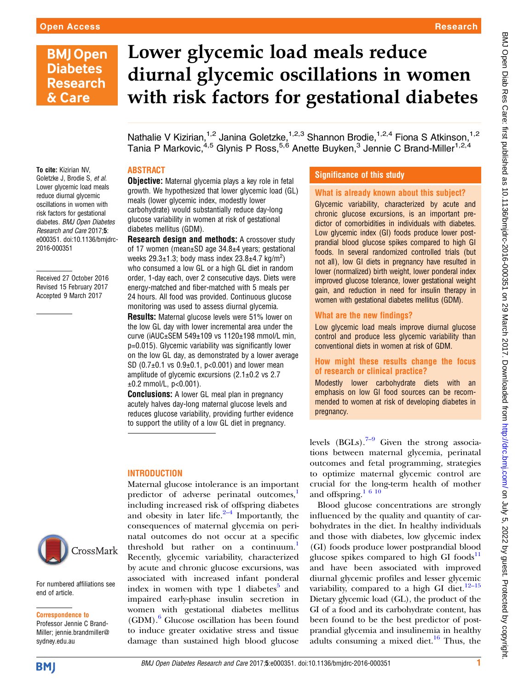# **BMJ Open Diabetes Research** & Care

# Lower glycemic load meals reduce diurnal glycemic oscillations in women with risk factors for gestational diabetes

Nathalie V Kizirian,<sup>1,2</sup> Janina Goletzke,<sup>1,2,3</sup> Shannon Brodie,<sup>1,2,4</sup> Fiona S Atkinson,<sup>1,2</sup> Tania P Markovic,<sup>4,5</sup> Glynis P Ross,<sup>5,6</sup> Anette Buyken,<sup>3</sup> Jennie C Brand-Miller<sup>1,2,4</sup>

#### ABSTRACT

To cite: Kizirian NV, Goletzke J, Brodie S, et al. Lower glycemic load meals reduce diurnal glycemic oscillations in women with risk factors for gestational diabetes. BMJ Open Diabetes Research and Care 2017;5: e000351. doi:10.1136/bmjdrc-2016-000351

Received 27 October 2016 Revised 15 February 2017 Accepted 9 March 2017



For numbered affiliations see end of article.

#### Correspondence to

Professor Jennie C Brand-Miller; jennie.brandmiller@ sydney.edu.au

**Objective:** Maternal glycemia plays a key role in fetal growth. We hypothesized that lower glycemic load (GL) meals (lower glycemic index, modestly lower carbohydrate) would substantially reduce day-long glucose variability in women at risk of gestational diabetes mellitus (GDM).

**Research design and methods:** A crossover study of 17 women (mean±SD age 34.8±4 years; gestational weeks  $29.3 \pm 1.3$ ; body mass index  $23.8 \pm 4.7$  kg/m<sup>2</sup>) who consumed a low GL or a high GL diet in random order, 1-day each, over 2 consecutive days. Diets were energy-matched and fiber-matched with 5 meals per 24 hours. All food was provided. Continuous glucose monitoring was used to assess diurnal glycemia. Results: Maternal glucose levels were 51% lower on the low GL day with lower incremental area under the curve (iAUC±SEM 549±109 vs 1120±198 mmol/L min, p=0.015). Glycemic variability was significantly lower on the low GL day, as demonstrated by a lower average SD  $(0.7\pm0.1 \text{ vs } 0.9\pm0.1, \text{ p} < 0.001)$  and lower mean amplitude of glycemic excursions (2.1±0.2 vs 2.7  $\pm 0.2$  mmol/L, p<0.001).

**Conclusions:** A lower GL meal plan in pregnancy acutely halves day-long maternal glucose levels and reduces glucose variability, providing further evidence to support the utility of a low GL diet in pregnancy.

## **INTRODUCTION**

Maternal glucose intolerance is an important predictor of adverse perinatal outcomes,<sup>[1](#page-5-0)</sup> including increased risk of offspring diabetes and obesity in later life. $2-4$  $2-4$  Importantly, the consequences of maternal glycemia on perinatal outcomes do not occur at a specific threshold but rather on a continuum.<sup>[1](#page-5-0)</sup> Recently, glycemic variability, characterized by acute and chronic glucose excursions, was associated with increased infant ponderal index in women with type 1 diabetes<sup>[5](#page-5-0)</sup> and impaired early-phase insulin secretion in women with gestational diabetes mellitus (GDM).[6](#page-5-0) Glucose oscillation has been found to induce greater oxidative stress and tissue damage than sustained high blood glucose

# Significance of this study

# What is already known about this subject?

Glycemic variability, characterized by acute and chronic glucose excursions, is an important predictor of comorbidities in individuals with diabetes. Low glycemic index (GI) foods produce lower postprandial blood glucose spikes compared to high GI foods. In several randomized controlled trials (but not all), low GI diets in pregnancy have resulted in lower (normalized) birth weight, lower ponderal index improved glucose tolerance, lower gestational weight gain, and reduction in need for insulin therapy in women with gestational diabetes mellitus (GDM).

#### What are the new findings?

Low glycemic load meals improve diurnal glucose control and produce less glycemic variability than conventional diets in women at risk of GDM.

#### How might these results change the focus of research or clinical practice?

Modestly lower carbohydrate diets with an emphasis on low GI food sources can be recommended to women at risk of developing diabetes in pregnancy.

levels  $(BGLs)$ .<sup>[7](#page-5-0)–9</sup> Given the strong associations between maternal glycemia, perinatal outcomes and fetal programming, strategies to optimize maternal glycemic control are crucial for the long-term health of mother and offspring.[1 6 10](#page-5-0)

Blood glucose concentrations are strongly influenced by the quality and quantity of carbohydrates in the diet. In healthy individuals and those with diabetes, low glycemic index (GI) foods produce lower postprandial blood glucose spikes compared to high GI foods $^{11}$  $^{11}$  $^{11}$ and have been associated with improved diurnal glycemic profiles and lesser glycemic variability, compared to a high GI diet. $12-15$  $12-15$ Dietary glycemic load (GL), the product of the GI of a food and its carbohydrate content, has been found to be the best predictor of postprandial glycemia and insulinemia in healthy adults consuming a mixed diet. $16$  Thus, the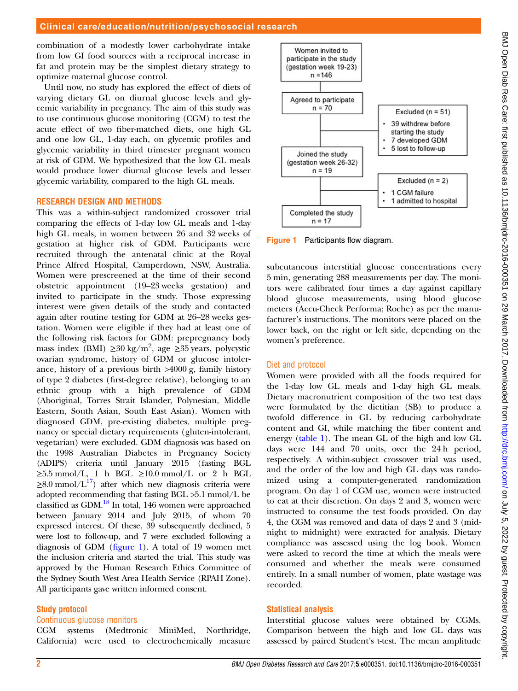### Clinical care/education/nutrition/psychosocial research

combination of a modestly lower carbohydrate intake from low GI food sources with a reciprocal increase in fat and protein may be the simplest dietary strategy to optimize maternal glucose control.

Until now, no study has explored the effect of diets of varying dietary GL on diurnal glucose levels and glycemic variability in pregnancy. The aim of this study was to use continuous glucose monitoring (CGM) to test the acute effect of two fiber-matched diets, one high GL and one low GL, 1-day each, on glycemic profiles and glycemic variability in third trimester pregnant women at risk of GDM. We hypothesized that the low GL meals would produce lower diurnal glucose levels and lesser glycemic variability, compared to the high GL meals.

#### RESEARCH DESIGN AND METHODS

This was a within-subject randomized crossover trial comparing the effects of 1-day low GL meals and 1-day high GL meals, in women between 26 and 32 weeks of gestation at higher risk of GDM. Participants were recruited through the antenatal clinic at the Royal Prince Alfred Hospital, Camperdown, NSW, Australia. Women were prescreened at the time of their second obstetric appointment (19–23 weeks gestation) and invited to participate in the study. Those expressing interest were given details of the study and contacted again after routine testing for GDM at 26–28 weeks gestation. Women were eligible if they had at least one of the following risk factors for GDM: prepregnancy body mass index (BMI) ≥30 kg/m<sup>2</sup>, age ≥35 years, polycystic ovarian syndrome, history of GDM or glucose intolerance, history of a previous birth >4000 g, family history of type 2 diabetes (first-degree relative), belonging to an ethnic group with a high prevalence of GDM (Aboriginal, Torres Strait Islander, Polynesian, Middle Eastern, South Asian, South East Asian). Women with diagnosed GDM, pre-existing diabetes, multiple pregnancy or special dietary requirements (gluten-intolerant, vegetarian) were excluded. GDM diagnosis was based on the 1998 Australian Diabetes in Pregnancy Society (ADIPS) criteria until January 2015 (fasting BGL  $\geq$ 5.5 mmol/L, 1 h BGL  $\geq$ 10.0 mmol/L or 2 h BGL  $\geq$ 8.0 mmol/L<sup>17</sup>) after which new diagnosis criteria were adopted recommending that fasting BGL >5.1 mmol/L be classified as GDM[.18](#page-5-0) In total, 146 women were approached between January 2014 and July 2015, of whom 70 expressed interest. Of these, 39 subsequently declined, 5 were lost to follow-up, and 7 were excluded following a diagnosis of GDM (figure 1). A total of 19 women met the inclusion criteria and started the trial. This study was approved by the Human Research Ethics Committee of the Sydney South West Area Health Service (RPAH Zone). All participants gave written informed consent.

#### Study protocol

#### Continuous glucose monitors

CGM systems (Medtronic MiniMed, Northridge, California) were used to electrochemically measure



Figure 1 Participants flow diagram.

subcutaneous interstitial glucose concentrations every 5 min, generating 288 measurements per day. The monitors were calibrated four times a day against capillary blood glucose measurements, using blood glucose meters (Accu-Check Performa; Roche) as per the manufacturer's instructions. The monitors were placed on the lower back, on the right or left side, depending on the women's preference.

#### Diet and protocol

Women were provided with all the foods required for the 1-day low GL meals and 1-day high GL meals. Dietary macronutrient composition of the two test days were formulated by the dietitian (SB) to produce a twofold difference in GL by reducing carbohydrate content and GI, while matching the fiber content and energy ([table 1](#page-2-0)). The mean GL of the high and low GL days were 144 and 70 units, over the 24 h period, respectively. A within-subject crossover trial was used, and the order of the low and high GL days was randomized using a computer-generated randomization program. On day 1 of CGM use, women were instructed to eat at their discretion. On days 2 and 3, women were instructed to consume the test foods provided. On day 4, the CGM was removed and data of days 2 and 3 (midnight to midnight) were extracted for analysis. Dietary compliance was assessed using the log book. Women were asked to record the time at which the meals were consumed and whether the meals were consumed entirely. In a small number of women, plate wastage was recorded.

#### Statistical analysis

Interstitial glucose values were obtained by CGMs. Comparison between the high and low GL days was assessed by paired Student's t-test. The mean amplitude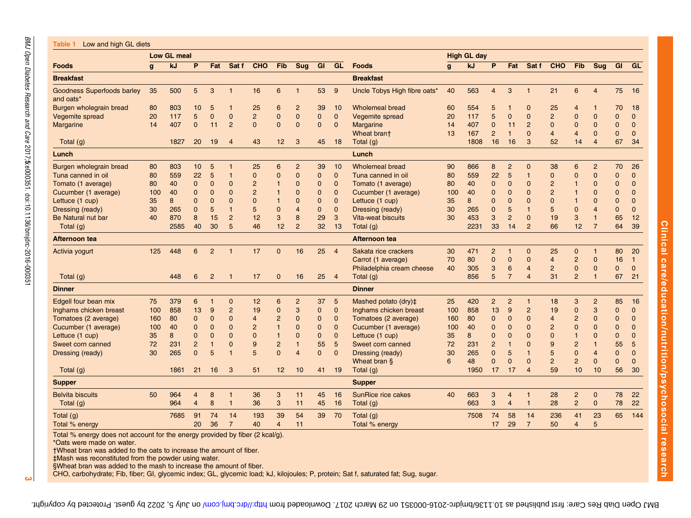:e000351. doi:10.1136/bmjdrc-2016-000351

 $\sim$ 

<span id="page-2-0"></span>

|                                                | Low GL meal  |      |                |                |                |                |                 |                |              |                | <b>High GL day</b>           |              |      |                |                |                |                |                 |                         |                |                |
|------------------------------------------------|--------------|------|----------------|----------------|----------------|----------------|-----------------|----------------|--------------|----------------|------------------------------|--------------|------|----------------|----------------|----------------|----------------|-----------------|-------------------------|----------------|----------------|
| <b>Foods</b>                                   | $\mathbf{g}$ | kJ   | P              | Fat            | Sat f          | <b>CHO</b>     | Fib             | <b>Sug</b>     | <b>GI</b>    | GL             | <b>Foods</b>                 | $\mathbf{q}$ | kJ   | P              | Fat            | Sat f          | CHO            | Fib             | <b>Sug</b>              |                | GI GL          |
| <b>Breakfast</b>                               |              |      |                |                |                |                |                 |                |              |                | <b>Breakfast</b>             |              |      |                |                |                |                |                 |                         |                |                |
| <b>Goodness Superfoods barley</b><br>and oats* | 35           | 500  | 5              | 3              | $\mathbf{1}$   | 16             | $6\phantom{1}6$ | 1              | 53           | 9              | Uncle Tobys High fibre oats* | 40           | 563  | $\overline{4}$ | 3              | $\overline{1}$ | 21             | 6               | $\overline{4}$          | 75             | 16             |
| Burgen wholegrain bread                        | 80           | 803  | 10             | 5              | $\mathbf{1}$   | 25             | 6               | $\overline{2}$ | 39           | 10             | <b>Wholemeal bread</b>       | 60           | 554  | 5              |                | 0              | 25             | $\overline{4}$  |                         | 70             | 18             |
| Vegemite spread                                | 20           | 117  | 5              | $\mathbf 0$    | $\mathbf 0$    | $\overline{c}$ | $\mathbf 0$     | 0              | $\mathbf{0}$ | $\mathbf 0$    | Vegemite spread              | 20           | 117  | 5              | $\mathbf 0$    | $\mathbf 0$    | $\overline{2}$ | $\mathbf 0$     | $\overline{0}$          | 0              | $\mathbf{0}$   |
| <b>Margarine</b>                               | 14           | 407  | $\mathbf 0$    | 11             | $\overline{2}$ | $\mathbf{0}$   | $\mathbf{0}$    | 0              | $\mathbf{0}$ | $\mathbf 0$    | Margarine                    | 14           | 407  | 0              | 11             | $\overline{2}$ | $\mathbf 0$    | 0               | $\mathbf 0$             | 0              | $\mathbf{0}$   |
|                                                |              |      |                |                |                |                |                 |                |              |                | Wheat brant                  | 13           | 167  | $\overline{2}$ | $\mathbf{1}$   | $\mathbf{0}$   | $\overline{4}$ | $\overline{4}$  | $\mathbf{0}$            | $\overline{0}$ | $\mathbf{0}$   |
| Total (g)                                      |              | 1827 | 20             | 19             | $\overline{4}$ | 43             | 12              | 3              | 45           | 18             | Total (g)                    |              | 1808 | 16             | 16             | 3              | 52             | 14              | $\overline{4}$          | 67             | 34             |
| Lunch                                          |              |      |                |                |                |                |                 |                |              |                | Lunch                        |              |      |                |                |                |                |                 |                         |                |                |
| Burgen wholegrain bread                        | 80           | 803  | 10             | 5              | $\overline{1}$ | 25             | 6               | $\overline{c}$ | 39           | 10             | <b>Wholemeal bread</b>       | 90           | 866  | 8              | $\overline{2}$ | $\mathbf 0$    | 38             | $6\phantom{1}6$ | $\overline{c}$          | 70             | 26             |
| Tuna canned in oil                             | 80           | 559  | 22             | 5              | $\mathbf{1}$   | 0              | $\mathbf 0$     | $\overline{0}$ | $\mathbf{0}$ | $\mathbf{0}$   | Tuna canned in oil           | 80           | 559  | 22             | 5              | $\mathbf{1}$   | $\mathbf{0}$   | $\mathbf 0$     | $\mathbf 0$             | 0              | $\mathbf 0$    |
| Tomato (1 average)                             | 80           | 40   | 0              | $\mathbf 0$    | $\mathbf 0$    | $\overline{2}$ | 1               | 0              | $\mathbf{0}$ | $\mathbf 0$    | Tomato (1 average)           | 80           | 40   | 0              | $\Omega$       | $\mathbf 0$    | $\overline{2}$ | $\overline{1}$  | $\mathbf 0$             | $\mathbf{0}$   | $\mathbf 0$    |
| Cucumber (1 average)                           | 100          | 40   | $\Omega$       | $\mathbf 0$    | $\mathbf 0$    | $\overline{2}$ |                 | $\Omega$       | $\mathbf{0}$ | $\mathbf 0$    | Cucumber (1 average)         | 100          | 40   | 0              | $\Omega$       | $\mathbf 0$    | $\overline{2}$ | $\mathbf{1}$    | $\Omega$                | $\Omega$       | $\overline{0}$ |
| Lettuce (1 cup)                                | 35           | 8    | $\overline{0}$ | $\mathbf 0$    | $\mathbf 0$    | $\overline{0}$ | 1               | 0              | 0            | $\mathbf 0$    | Lettuce (1 cup)              | 35           | 8    | 0              | $\Omega$       | $\mathbf 0$    | $\overline{0}$ | $\mathbf{1}$    | $\mathbf 0$             | $\mathbf{0}$   | $\mathbf 0$    |
| Dressing (ready)                               | 30           | 265  | $\mathbf{0}$   | 5              | $\mathbf{1}$   | 5              | $\mathbf 0$     | 4              | $\mathbf{0}$ | $\mathbf 0$    | Dressing (ready)             | 30           | 265  | $\mathbf{0}$   | 5              | $\overline{1}$ | 5              | $\Omega$        | $\overline{4}$          | $\Omega$       | $\mathbf{0}$   |
| Be Natural nut bar                             | 40           | 870  | 8              | 15             | $\overline{2}$ | 12             | 3               | 8              | 29           | 3              | Vita-weat biscuits           | 30           | 453  | 3              | $\overline{2}$ | $\mathbf 0$    | 19             | 3               | $\overline{1}$          | 65             | 12             |
| Total (g)                                      |              | 2585 | 40             | 30             | 5              | 46             | 12              | $\overline{2}$ | 32           | 13             | Total (g)                    |              | 2231 | 33             | 14             | $\overline{2}$ | 66             | 12              | $\overline{7}$          | 64             | 39             |
| Afternoon tea                                  |              |      |                |                |                |                |                 |                |              |                | Afternoon tea                |              |      |                |                |                |                |                 |                         |                |                |
| Activia yogurt                                 | 125          | 448  | 6              | $\overline{2}$ | $\overline{1}$ | 17             | $\mathbf{0}$    | 16             | 25           | $\overline{4}$ | Sakata rice crackers         | 30           | 471  | $\overline{2}$ | $\overline{1}$ | $\mathbf{0}$   | 25             | $\mathbf{0}$    | $\overline{\mathbf{1}}$ | 80             | 20             |
|                                                |              |      |                |                |                |                |                 |                |              |                | Carrot (1 average)           | 70           | 80   | 0              | $\mathbf 0$    | $\mathbf 0$    | $\overline{4}$ | $\overline{2}$  | $\mathbf 0$             | 16             | $\overline{1}$ |
|                                                |              |      |                |                |                |                |                 |                |              |                | Philadelphia cream cheese    | 40           | 305  | 3              | 6              | $\overline{4}$ | $\overline{2}$ | $\mathbf 0$     | $\mathbf 0$             | $\mathbf{0}$   | $\mathbf{0}$   |
| Total (g)                                      |              | 448  | 6              | $\overline{2}$ | $\mathbf{1}$   | 17             | $\mathbf{0}$    | 16             | 25           | $\overline{4}$ | Total (g)                    |              | 856  | 5              | $\overline{7}$ | $\overline{4}$ | 31             | $\overline{2}$  | $\overline{1}$          | 67             | 21             |
| Dinner                                         |              |      |                |                |                |                |                 |                |              |                | <b>Dinner</b>                |              |      |                |                |                |                |                 |                         |                |                |
| Edgell four bean mix                           | 75           | 379  | 6              | $\overline{1}$ | $\mathbf 0$    | 12             | 6               | $\overline{2}$ | 37           | 5              | Mashed potato (dry)#         | 25           | 420  | $\overline{2}$ | $\overline{2}$ | $\mathbf{1}$   | 18             | 3               | $\overline{2}$          | 85             | 16             |
| Inghams chicken breast                         | 100          | 858  | 13             | 9              | $\overline{c}$ | 19             | $\mathbf 0$     | 3              | $\mathbf{0}$ | $\mathbf 0$    | Inghams chicken breast       | 100          | 858  | 13             | 9              | $\overline{2}$ | 19             | 0               | 3                       | $\mathbf{0}$   | $\mathbf 0$    |
| Tomatoes (2 average)                           | 160          | 80   | 0              | $\mathbf 0$    | $\mathbf 0$    | $\overline{4}$ | $\overline{2}$  | 0              | 0            | $\mathbf 0$    | Tomatoes (2 average)         | 160          | 80   | 0              | 0              | $\mathbf 0$    | 4              | $\overline{c}$  | $\mathbf 0$             | $\mathbf{0}$   | $\mathbf 0$    |
| Cucumber (1 average)                           | 100          | 40   | $\overline{0}$ | $\mathbf 0$    | $\mathbf{0}$   | $\overline{2}$ | 1               | 0              | $\mathbf{0}$ | $\mathbf 0$    | Cucumber (1 average)         | 100          | 40   | 0              | $\Omega$       | $\mathbf{0}$   | $\overline{2}$ | $\mathbf 0$     | $\mathbf 0$             | $\Omega$       | $\overline{0}$ |
| Lettuce (1 cup)                                | 35           | 8    | $\overline{0}$ | $\mathbf 0$    | $\mathbf 0$    | $\mathbf 0$    | $\mathbf{1}$    | 0              | $\mathbf{0}$ | $\mathbf{0}$   | Lettuce (1 cup)              | 35           | 8    | 0              | $\Omega$       | $\mathbf 0$    | $\Omega$       | $\mathbf{1}$    | $\overline{0}$          | $\mathbf{0}$   | $\overline{0}$ |
| Sweet corn canned                              | 72           | 231  | $\overline{c}$ | $\mathbf{1}$   | $\mathbf 0$    | 9              | $\overline{c}$  | 1              | 55           | 5              | Sweet corn canned            | 72           | 231  | 2              |                | $\mathbf 0$    | 9              | $\overline{2}$  | $\overline{1}$          | 55             | 5              |
| Dressing (ready)                               | 30           | 265  | $\Omega$       | 5              | $\overline{1}$ | 5              | $\overline{0}$  | $\overline{4}$ | $\Omega$     | $\Omega$       | Dressing (ready)             | 30           | 265  | 0              | 5              | $\overline{1}$ | 5              | $\mathbf 0$     | $\overline{4}$          | $\Omega$       | $\overline{0}$ |
|                                                |              |      |                |                |                |                |                 |                |              |                | Wheat bran §                 | 6            | 48   | $\Omega$       | $\mathbf 0$    | $\mathbf{0}$   | $\overline{2}$ | $\overline{2}$  | $\mathbf 0$             | $\mathbf{0}$   | $\overline{0}$ |
| Total (g)                                      |              | 1861 | 21             | 16             | 3              | 51             | 12              | 10             | 41           | 19             | Total (g)                    |              | 1950 | 17             | 17             | $\overline{4}$ | 59             | 10              | 10                      | 56             | 30             |
| <b>Supper</b>                                  |              |      |                |                |                |                |                 |                |              |                | <b>Supper</b>                |              |      |                |                |                |                |                 |                         |                |                |
| <b>Belvita biscuits</b>                        | 50           | 964  | 4              | 8              | $\mathbf{1}$   | 36             | 3               | 11             | 45           | 16             | SunRice rice cakes           | 40           | 663  | 3              | 4              | $\overline{1}$ | 28             | $\overline{c}$  | $\mathbf 0$             | 78             | 22             |
| Total (g)                                      |              | 964  | $\overline{4}$ | 8              | $\mathbf{1}$   | 36             | 3               | 11             | 45           | 16             | Total (g)                    |              | 663  | 3              | 4              | $\mathbf{1}$   | 28             | $\overline{2}$  | $\mathbf{0}$            | 78             | 22             |
| Total (g)                                      |              | 7685 | 91             | 74             | 14             | 193            | 39              | 54             | 39           | 70             | Total (g)                    |              | 7508 | 74             | 58             | 14             | 236            | 41              | 23                      | 65             | 144            |
| Total % energy                                 |              |      | 20             | 36             | $\overline{7}$ | 40             | $\overline{4}$  | 11             |              |                | Total % energy               |              |      | 17             | 29             | $\overline{7}$ | 50             | $\overline{4}$  | 5                       |                |                |
|                                                |              |      |                |                |                |                |                 |                |              |                |                              |              |      |                |                |                |                |                 |                         |                |                |

Total % energy does not account for the energy provided by fiber (2 kcal/g).

\*Oats were made on water.

†Wheat bran was added to the oats to increase the amount of fiber.

‡Mash was reconstituted from the powder using water.

§Wheat bran was added to the mash to increase the amount of fiber.

CHO, carbohydrate; Fib, fiber; GI, glycemic index; GL, glycemic load; kJ, kilojoules; P, protein; Sat f, saturated fat; Sug, sugar.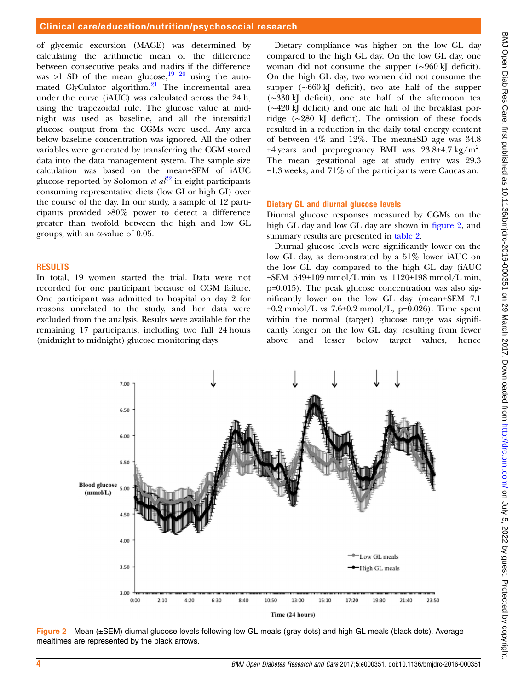of glycemic excursion (MAGE) was determined by calculating the arithmetic mean of the difference between consecutive peaks and nadirs if the difference was  $>1$  SD of the mean glucose,<sup>[19 20](#page-5-0)</sup> using the auto-mated GlyCulator algorithm.<sup>[21](#page-5-0)</sup> The incremental area under the curve (iAUC) was calculated across the 24 h, using the trapezoidal rule. The glucose value at midnight was used as baseline, and all the interstitial glucose output from the CGMs were used. Any area below baseline concentration was ignored. All the other variables were generated by transferring the CGM stored data into the data management system. The sample size calculation was based on the mean±SEM of iAUC glucose reported by Solomon *et a* $\ell^2$  in eight participants consuming representative diets (low GI or high GI) over the course of the day. In our study, a sample of 12 participants provided >80% power to detect a difference greater than twofold between the high and low GL groups, with an α-value of 0.05.

# **RESULTS**

In total, 19 women started the trial. Data were not recorded for one participant because of CGM failure. One participant was admitted to hospital on day 2 for reasons unrelated to the study, and her data were excluded from the analysis. Results were available for the remaining 17 participants, including two full 24 hours (midnight to midnight) glucose monitoring days.

Dietary compliance was higher on the low GL day compared to the high GL day. On the low GL day, one woman did not consume the supper (∼960 kJ deficit). On the high GL day, two women did not consume the supper (∼660 kJ deficit), two ate half of the supper (∼330 kJ deficit), one ate half of the afternoon tea (∼420 kJ deficit) and one ate half of the breakfast porridge (∼280 kJ deficit). The omission of these foods resulted in a reduction in the daily total energy content of between 4% and 12%. The mean±SD age was 34.8  $\pm 4$  years and prepregnancy BMI was 23.8 $\pm 4.7$  kg/m<sup>2</sup>. The mean gestational age at study entry was 29.3 ±1.3 weeks, and 71% of the participants were Caucasian.

# Dietary GL and diurnal glucose levels

Diurnal glucose responses measured by CGMs on the high GL day and low GL day are shown in figure 2, and summary results are presented in [table 2.](#page-4-0)

Diurnal glucose levels were significantly lower on the low GL day, as demonstrated by a 51% lower iAUC on the low GL day compared to the high GL day (iAUC ±SEM 549±109 mmol/L min vs 1120±198 mmol/L min, p=0.015). The peak glucose concentration was also significantly lower on the low GL day (mean±SEM 7.1  $\pm 0.2$  mmol/L vs 7.6 $\pm 0.2$  mmol/L, p=0.026). Time spent within the normal (target) glucose range was significantly longer on the low GL day, resulting from fewer above and lesser below target values, hence



Figure 2 Mean (±SEM) diurnal glucose levels following low GL meals (gray dots) and high GL meals (black dots). Average mealtimes are represented by the black arrows.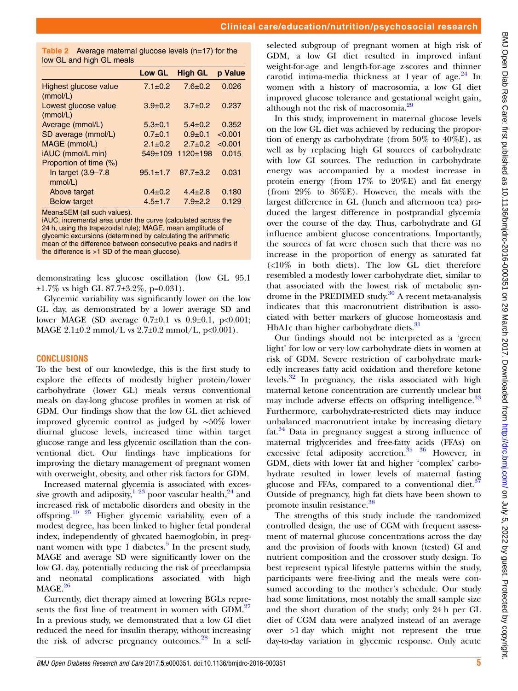<span id="page-4-0"></span>

| Table 2 Average maternal glucose levels $(n=17)$ for the |  |
|----------------------------------------------------------|--|
| low GL and high GL meals                                 |  |

| <b>IVW OF AIR IIIYII VE IIIGAIS</b>         |                |                |         |
|---------------------------------------------|----------------|----------------|---------|
|                                             | <b>Low GL</b>  | <b>High GL</b> | p Value |
| Highest glucose value<br>(mmol/L)           | $7.1 \pm 0.2$  | $7.6 \pm 0.2$  | 0.026   |
| Lowest glucose value<br>(mmol/L)            | $3.9 \pm 0.2$  | $3.7 \pm 0.2$  | 0.237   |
| Average (mmol/L)                            | $5.3 \pm 0.1$  | $5.4 \pm 0.2$  | 0.352   |
| SD average (mmol/L)                         | $0.7+0.1$      | $0.9 + 0.1$    | < 0.001 |
| MAGE (mmol/L)                               | $2.1 \pm 0.2$  | $2.7 \pm 0.2$  | < 0.001 |
| iAUC (mmol/L min)<br>Proportion of time (%) | $549 \pm 109$  | $1120 \pm 198$ | 0.015   |
| In target $(3.9-7.8)$<br>mmol/L)            | $95.1 \pm 1.7$ | $87.7 \pm 3.2$ | 0.031   |
| Above target                                | $0.4 \pm 0.2$  | $4.4 \pm 2.8$  | 0.180   |
| <b>Below target</b>                         | $4.5 \pm 1.7$  | $7.9 + 2.2$    | 0.129   |

Mean±SEM (all such values).

iAUC, incremental area under the curve (calculated across the 24 h, using the trapezoidal rule); MAGE, mean amplitude of glycemic excursions (determined by calculating the arithmetic mean of the difference between consecutive peaks and nadirs if the difference is >1 SD of the mean glucose).

demonstrating less glucose oscillation (low GL 95.1 ±1.7% vs high GL 87.7±3.2%, p=0.031).

Glycemic variability was significantly lower on the low GL day, as demonstrated by a lower average SD and lower MAGE (SD average  $0.7\pm0.1$  vs  $0.9\pm0.1$ ,  $p<0.001$ ; MAGE  $2.1\pm0.2$  mmol/L vs  $2.7\pm0.2$  mmol/L, p<0.001).

#### **CONCLUSIONS**

To the best of our knowledge, this is the first study to explore the effects of modestly higher protein/lower carbohydrate (lower GL) meals versus conventional meals on day-long glucose profiles in women at risk of GDM. Our findings show that the low GL diet achieved improved glycemic control as judged by ∼50% lower diurnal glucose levels, increased time within target glucose range and less glycemic oscillation than the conventional diet. Our findings have implications for improving the dietary management of pregnant women with overweight, obesity, and other risk factors for GDM.

Increased maternal glycemia is associated with excessive growth and adiposity,  $1^{23}$  poor vascular health,  $2^{4}$  and increased risk of metabolic disorders and obesity in the offspring.[10 25](#page-5-0) Higher glycemic variability, even of a modest degree, has been linked to higher fetal ponderal index, independently of glycated haemoglobin, in pregnant women with type 1 diabetes. $5$  In the present study, MAGE and average SD were significantly lower on the low GL day, potentially reducing the risk of preeclampsia and neonatal complications associated with high  $MAGE.<sup>26</sup>$  $MAGE.<sup>26</sup>$  $MAGE.<sup>26</sup>$ 

Currently, diet therapy aimed at lowering BGLs repre-sents the first line of treatment in women with GDM.<sup>[27](#page-5-0)</sup> In a previous study, we demonstrated that a low GI diet reduced the need for insulin therapy, without increasing the risk of adverse pregnancy outcomes.<sup>[28](#page-5-0)</sup> In a selfselected subgroup of pregnant women at high risk of GDM, a low GI diet resulted in improved infant weight-for-age and length-for-age z-scores and thinner carotid intima-media thickness at 1 year of age. $24$  In women with a history of macrosomia, a low GI diet improved glucose tolerance and gestational weight gain, although not the risk of macrosomia.<sup>[29](#page-5-0)</sup>

In this study, improvement in maternal glucose levels on the low GL diet was achieved by reducing the proportion of energy as carbohydrate (from  $50\%$  to  $40\%$ E), as well as by replacing high GI sources of carbohydrate with low GI sources. The reduction in carbohydrate energy was accompanied by a modest increase in protein energy (from  $17\%$  to  $20\%$ E) and fat energy (from 29% to 36%E). However, the meals with the largest difference in GL (lunch and afternoon tea) produced the largest difference in postprandial glycemia over the course of the day. Thus, carbohydrate and GI influence ambient glucose concentrations. Importantly, the sources of fat were chosen such that there was no increase in the proportion of energy as saturated fat (<10% in both diets). The low GL diet therefore resembled a modestly lower carbohydrate diet, similar to that associated with the lowest risk of metabolic syndrome in the PREDIMED study.<sup>30</sup> A recent meta-analysis indicates that this macronutrient distribution is associated with better markers of glucose homeostasis and HbA1c than higher carbohydrate diets.<sup>[31](#page-6-0)</sup>

Our findings should not be interpreted as a 'green light' for low or very low carbohydrate diets in women at risk of GDM. Severe restriction of carbohydrate markedly increases fatty acid oxidation and therefore ketone levels.<sup>[32](#page-6-0)</sup> In pregnancy, the risks associated with high maternal ketone concentration are currently unclear but may include adverse effects on offspring intelligence.<sup>[33](#page-6-0)</sup> Furthermore, carbohydrate-restricted diets may induce unbalanced macronutrient intake by increasing dietary fat. $34$  Data in pregnancy suggest a strong influence of maternal triglycerides and free-fatty acids (FFAs) on excessive fetal adiposity accretion.<sup>35</sup> <sup>36</sup> However, in GDM, diets with lower fat and higher 'complex' carbohydrate resulted in lower levels of maternal fasting glucose and FFAs, compared to a conventional diet. $37$ Outside of pregnancy, high fat diets have been shown to promote insulin resistance.[38](#page-6-0)

The strengths of this study include the randomized controlled design, the use of CGM with frequent assessment of maternal glucose concentrations across the day and the provision of foods with known (tested) GI and nutrient composition and the crossover study design. To best represent typical lifestyle patterns within the study, participants were free-living and the meals were consumed according to the mother's schedule. Our study had some limitations, most notably the small sample size and the short duration of the study; only 24 h per GL diet of CGM data were analyzed instead of an average over >1 day which might not represent the true day-to-day variation in glycemic response. Only acute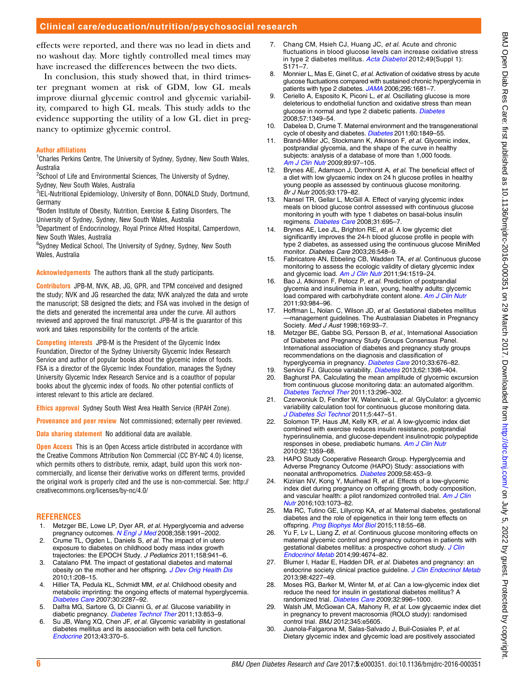<span id="page-5-0"></span>effects were reported, and there was no lead in diets and no washout day. More tightly controlled meal times may have increased the differences between the two diets.

In conclusion, this study showed that, in third trimester pregnant women at risk of GDM, low GL meals improve diurnal glycemic control and glycemic variability, compared to high GL meals. This study adds to the evidence supporting the utility of a low GL diet in pregnancy to optimize glycemic control.

#### Author affiliations

<sup>1</sup>Charles Perkins Centre, The University of Sydney, Sydney, New South Wales, Australia

<sup>2</sup>School of Life and Environmental Sciences, The University of Sydney, Sydney, New South Wales, Australia

3 IEL-Nutritional Epidemiology, University of Bonn, DONALD Study, Dortmund,

**Germany** <sup>4</sup>Boden Institute of Obesity, Nutrition, Exercise & Eating Disorders, The

University of Sydney, Sydney, New South Wales, Australia <sup>5</sup>Department of Endocrinology, Royal Prince Alfred Hospital, Camperdown, New South Wales, Australia

6 Sydney Medical School, The University of Sydney, Sydney, New South Wales, Australia

Acknowledgements The authors thank all the study participants.

Contributors JPB-M, NVK, AB, JG, GPR, and TPM conceived and designed the study; NVK and JG researched the data; NVK analyzed the data and wrote the manuscript; SB designed the diets; and FSA was involved in the design of the diets and generated the incremental area under the curve. All authors reviewed and approved the final manuscript. JPB-M is the guarantor of this work and takes responsibility for the contents of the article.

Competing interests JPB-M is the President of the Glycemic Index Foundation, Director of the Sydney University Glycemic Index Research Service and author of popular books about the glycemic index of foods. FSA is a director of the Glycemic Index Foundation, manages the Sydney University Glycemic Index Research Service and is a coauthor of popular books about the glycemic index of foods. No other potential conflicts of interest relevant to this article are declared.

Ethics approval Sydney South West Area Health Service (RPAH Zone).

Provenance and peer review Not commissioned; externally peer reviewed.

Data sharing statement No additional data are available.

**Open Access** This is an Open Access article distributed in accordance with the Creative Commons Attribution Non Commercial (CC BY-NC 4.0) license, which permits others to distribute, remix, adapt, build upon this work noncommercially, and license their derivative works on different terms, provided the original work is properly cited and the use is non-commercial. See: [http://](http://creativecommons.org/licenses/by-nc/4.0/) [creativecommons.org/licenses/by-nc/4.0/](http://creativecommons.org/licenses/by-nc/4.0/)

#### REFERENCES

- 1. Metzger BE, Lowe LP, Dyer AR, et al. Hyperglycemia and adverse pregnancy outcomes. [N Engl J Med](http://dx.doi.org/10.1056/NEJMoa0707943) 2008;358:1991-2002.
- 2. Crume TL, Ogden L, Daniels S, et al. The impact of in utero exposure to diabetes on childhood body mass index growth trajectories: the EPOCH Study. J Pediatrics 2011;158:941–6.
- 3. Catalano PM. The impact of gestational diabetes and maternal obesity on the mother and her offspring. [J Dev Orig Health Dis](http://dx.doi.org/10.1017/S2040174410000115) 2010;1:208–15.
- 4. Hillier TA, Pedula KL, Schmidt MM, et al. Childhood obesity and metabolic imprinting: the ongoing effects of maternal hyperglycemia. [Diabetes Care](http://dx.doi.org/10.2337/dc06-2361) 2007;30:2287–92.
- 5. Dalfra MG, Sartore G, Di Cianni G, et al. Glucose variability in diabetic pregnancy. [Diabetes Technol Ther](http://dx.doi.org/10.1089/dia.2010.0145) 2011;13:853-9.
- Su JB, Wang XQ, Chen JF, et al. Glycemic variability in gestational diabetes mellitus and its association with beta cell function. [Endocrine](http://dx.doi.org/10.1007/s12020-012-9753-5) 2013;43:370–5.
- 7. Chang CM, Hsieh CJ, Huang JC, et al. Acute and chronic fluctuations in blood glucose levels can increase oxidative stress in type 2 diabetes mellitus. [Acta Diabetol](http://dx.doi.org/10.1007/s00592-012-0398-x) 2012;49(Suppl 1):  $S171 - 7$
- 8. Monnier L, Mas E, Ginet C, et al. Activation of oxidative stress by acute glucose fluctuations compared with sustained chronic hyperglycemia in patients with type 2 diabetes. [JAMA](http://dx.doi.org/10.1001/jama.295.14.1681) 2006;295:1681-7.
- Ceriello A, Esposito K, Piconi L, et al. Oscillating glucose is more deleterious to endothelial function and oxidative stress than mean glucose in normal and type 2 diabetic patients. [Diabetes](http://dx.doi.org/10.2337/db08-0063) 2008;57:1349–54.
- 10. Dabelea D, Crume T. Maternal environment and the transgenerational cycle of obesity and diabetes. [Diabetes](http://dx.doi.org/10.2337/db11-0400) 2011;60:1849-55.
- 11. Brand-Miller JC, Stockmann K, Atkinson F, et al. Glycemic index, postprandial glycemia, and the shape of the curve in healthy subjects: analysis of a database of more than 1,000 foods. [Am J Clin Nutr](http://dx.doi.org/10.3945/ajcn.2008.26354) 2009;89:97–105.
- 12. Brynes AE, Adamson J, Dornhorst A, et al. The beneficial effect of a diet with low glycaemic index on 24 h glucose profiles in healthy young people as assessed by continuous glucose monitoring. Br J Nutr 2005;93:179–82.
- 13. Nansel TR, Gellar L, McGill A. Effect of varying glycemic index meals on blood glucose control assessed with continuous glucose monitoring in youth with type 1 diabetes on basal-bolus insulin regimens. [Diabetes Care](http://dx.doi.org/10.2337/dc07-1879) 2008;31:695–7.
- 14. Brynes AE, Lee JL, Brighton RE, et al. A low glycemic diet significantly improves the 24-h blood glucose profile in people with type 2 diabetes, as assessed using the continuous glucose MiniMed monitor. Diabetes Care 2003;26:548–9.
- 15. Fabricatore AN, Ebbeling CB, Wadden TA, et al. Continuous glucose monitoring to assess the ecologic validity of dietary glycemic index and glycemic load. [Am J Clin Nutr](http://dx.doi.org/10.3945/ajcn.111.020354) 2011;94:1519-24.
- 16. Bao J, Atkinson F, Petocz P, et al. Prediction of postprandial glycemia and insulinemia in lean, young, healthy adults: glycemic load compared with carbohydrate content alone. [Am J Clin Nutr](http://dx.doi.org/10.3945/ajcn.110.005033) 2011;93:984–96.
- 17. Hoffman L, Nolan C, Wilson JD, et al. Gestational diabetes mellitus —management guidelines. The Australasian Diabetes in Pregnancy Society. Med J Aust 1998;169:93–7.
- 18. Metzger BE, Gabbe SG, Persson B, et al., International Association of Diabetes and Pregnancy Study Groups Consensus Panel. International association of diabetes and pregnancy study groups recommendations on the diagnosis and classification of hyperglycemia in pregnancy. [Diabetes Care](http://dx.doi.org/10.2337/dc09-1848) 2010;33:676-82.
- 19. Service FJ. Glucose variability. *[Diabetes](http://dx.doi.org/10.2337/db12-1396)* 2013;62:1398–404.<br>20. Baghurst PA. Calculating the mean amplitude of glycemic ex
- Baghurst PA. Calculating the mean amplitude of glycemic excursion from continuous glucose monitoring data: an automated algorithm. [Diabetes Technol Ther](http://dx.doi.org/10.1089/dia.2010.0090) 2011;13:296–302.
- 21. Czerwoniuk D, Fendler W, Walenciak L, et al. GlyCulator: a glycemic variability calculation tool for continuous glucose monitoring data. [J Diabetes Sci Technol](http://dx.doi.org/10.1177/193229681100500236) 2011;5:447-51.
- 22. Solomon TP, Haus JM, Kelly KR, et al. A low-glycemic index diet combined with exercise reduces insulin resistance, postprandial hyperinsulinemia, and glucose-dependent insulinotropic polypeptide responses in obese, prediabetic humans. [Am J Clin Nutr](http://dx.doi.org/10.3945/ajcn.2010.29771) 2010;92:1359–68.
- 23. HAPO Study Cooperative Research Group. Hyperglycemia and Adverse Pregnancy Outcome (HAPO) Study: associations with neonatal anthropometrics. [Diabetes](http://dx.doi.org/10.2337/db08-1112) 2009;58:453–9.
- 24. Kizirian NV, Kong Y, Muirhead R, et al. Effects of a low-glycemic index diet during pregnancy on offspring growth, body composition, and vascular health: a pilot randomized controlled trial. [Am J Clin](http://dx.doi.org/10.3945/ajcn.115.123695) [Nutr](http://dx.doi.org/10.3945/ajcn.115.123695) 2016;103:1073–82.
- 25. Ma RC, Tutino GE, Lillycrop KA, et al. Maternal diabetes, gestational diabetes and the role of epigenetics in their long term effects on offspring. [Prog Biophys Mol Biol](http://dx.doi.org/10.1016/j.pbiomolbio.2015.02.010) 2015;118:55-68.
- 26. Yu F, Lv L, Liang Z, et al. Continuous glucose monitoring effects on maternal glycemic control and pregnancy outcomes in patients with gestational diabetes mellitus: a prospective cohort study. [J Clin](http://dx.doi.org/10.1210/jc.2013-4332) [Endocrinol Metab](http://dx.doi.org/10.1210/jc.2013-4332) 2014;99:4674–82.
- 27. Blumer I, Hadar E, Hadden DR, et al. Diabetes and pregnancy: an endocrine society clinical practice guideline. [J Clin Endocrinol Metab](http://dx.doi.org/10.1210/jc.2013-2465) 2013;98:4227–49.
- 28. Moses RG, Barker M, Winter M, et al. Can a low-glycemic index diet reduce the need for insulin in gestational diabetes mellitus? A randomized trial. [Diabetes Care](http://dx.doi.org/10.2337/dc09-0007) 2009;32:996-1000.
- 29. Walsh JM, McGowan CA, Mahony R, et al. Low glycaemic index diet in pregnancy to prevent macrosomia (ROLO study): randomised control trial. BMJ 2012;345:e5605.
- 30. Juanola-Falgarona M, Salas-Salvado J, Buil-Cosiales P, et al. Dietary glycemic index and glycemic load are positively associated